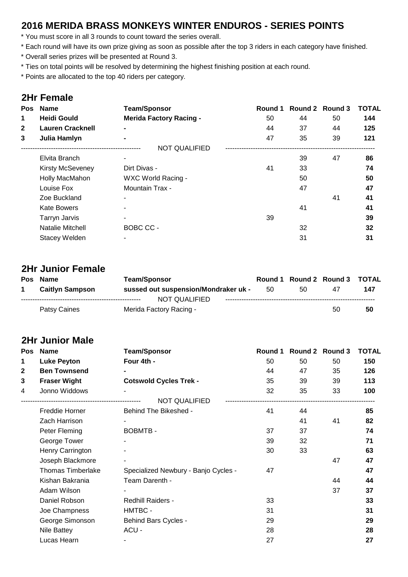#### **2016 MERIDA BRASS MONKEYS WINTER ENDUROS - SERIES POINTS**

\* You must score in all 3 rounds to count toward the series overall.

\* Each round will have its own prize giving as soon as possible after the top 3 riders in each category have finished.

- \* Overall series prizes will be presented at Round 3.
- \* Ties on total points will be resolved by determining the highest finishing position at each round.

\* Points are allocated to the top 40 riders per category.

#### **2Hr Female**

| <b>Pos</b>   | <b>Name</b>             | <b>Team/Sponsor</b>            | Round 1 |    | Round 2 Round 3 | <b>TOTAL</b> |
|--------------|-------------------------|--------------------------------|---------|----|-----------------|--------------|
| 1            | <b>Heidi Gould</b>      | <b>Merida Factory Racing -</b> | 50      | 44 | 50              | 144          |
| $\mathbf{2}$ | <b>Lauren Cracknell</b> |                                | 44      | 37 | 44              | 125          |
| 3            | Julia Hamlyn            |                                | 47      | 35 | 39              | 121          |
|              |                         | <b>NOT QUALIFIED</b>           |         |    |                 |              |
|              | Elvita Branch           |                                |         | 39 | 47              | 86           |
|              | <b>Kirsty McSeveney</b> | Dirt Divas -                   | 41      | 33 |                 | 74           |
|              | Holly MacMahon          | WXC World Racing -             |         | 50 |                 | 50           |
|              | Louise Fox              | Mountain Trax -                |         | 47 |                 | 47           |
|              | Zoe Buckland            | $\overline{\phantom{0}}$       |         |    | 41              | 41           |
|              | <b>Kate Bowers</b>      |                                |         | 41 |                 | 41           |
|              | <b>Tarryn Jarvis</b>    |                                | 39      |    |                 | 39           |
|              | Natalie Mitchell        | BOBC CC -                      |         | 32 |                 | 32           |
|              | <b>Stacey Welden</b>    | ٠                              |         | 31 |                 | 31           |
|              |                         |                                |         |    |                 |              |

#### **2Hr Junior Female**

| Pos Name               | <b>Team/Sponsor</b>                  |    |     | Round 1 Round 2 Round 3 TOTAL |     |
|------------------------|--------------------------------------|----|-----|-------------------------------|-----|
| <b>Caitlyn Sampson</b> | sussed out suspension/Mondraker uk - | 50 | 50. | 47                            | 147 |
|                        | NOT QUALIFIED                        |    |     |                               |     |
| Patsy Caines           | Merida Factory Racing -              |    |     | 50                            | 50  |

#### **2Hr Junior Male**

| Pos | <b>Name</b>              | <b>Team/Sponsor</b>                  | Round 1 |    | Round 2 Round 3 | <b>TOTAL</b> |
|-----|--------------------------|--------------------------------------|---------|----|-----------------|--------------|
| 1   | <b>Luke Peyton</b>       | Four 4th -                           | 50      | 50 | 50              | 150          |
| 2   | <b>Ben Townsend</b>      |                                      | 44      | 47 | 35              | 126          |
| 3   | <b>Fraser Wight</b>      | <b>Cotswold Cycles Trek -</b>        | 35      | 39 | 39              | 113          |
| 4   | Jonno Widdows            |                                      | 32      | 35 | 33              | 100          |
|     |                          | <b>NOT QUALIFIED</b>                 |         |    |                 |              |
|     | Freddie Horner           | Behind The Bikeshed -                | 41      | 44 |                 | 85           |
|     | Zach Harrison            |                                      |         | 41 | 41              | 82           |
|     | Peter Fleming            | <b>BOBMTB-</b>                       | 37      | 37 |                 | 74           |
|     | George Tower             |                                      | 39      | 32 |                 | 71           |
|     | Henry Carrington         |                                      | 30      | 33 |                 | 63           |
|     | Joseph Blackmore         |                                      |         |    | 47              | 47           |
|     | <b>Thomas Timberlake</b> | Specialized Newbury - Banjo Cycles - | 47      |    |                 | 47           |
|     | Kishan Bakrania          | Team Darenth -                       |         |    | 44              | 44           |
|     | Adam Wilson              |                                      |         |    | 37              | 37           |
|     | Daniel Robson            | <b>Redhill Raiders -</b>             | 33      |    |                 | 33           |
|     | Joe Champness            | HMTBC -                              | 31      |    |                 | 31           |
|     | George Simonson          | <b>Behind Bars Cycles -</b>          | 29      |    |                 | 29           |
|     | Nile Battey              | ACU-                                 | 28      |    |                 | 28           |
|     | Lucas Hearn              |                                      | 27      |    |                 | 27           |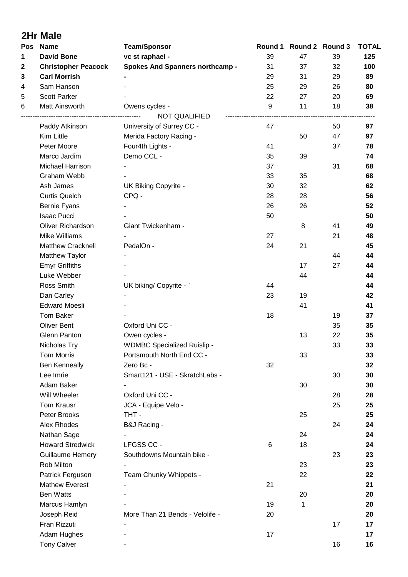|     | <b>2Hr Male</b>            |                                        |    |                               |    |                     |  |
|-----|----------------------------|----------------------------------------|----|-------------------------------|----|---------------------|--|
| Pos | <b>Name</b>                | <b>Team/Sponsor</b>                    |    | Round 1 Round 2 Round 3<br>47 |    | <b>TOTAL</b><br>125 |  |
| 1   | <b>David Bone</b>          | vc st raphael -                        | 39 |                               | 39 |                     |  |
| 2   | <b>Christopher Peacock</b> | <b>Spokes And Spanners northcamp -</b> | 31 | 37                            | 32 | 100                 |  |
| 3   | <b>Carl Morrish</b>        |                                        | 29 | 31                            | 29 | 89                  |  |
| 4   | Sam Hanson                 |                                        | 25 | 29                            | 26 | 80                  |  |
| 5   | <b>Scott Parker</b>        |                                        | 22 | 27                            | 20 | 69                  |  |
| 6   | Matt Ainsworth             | Owens cycles -                         | 9  | 11                            | 18 | 38                  |  |
|     |                            | NOT QUALIFIED                          |    |                               |    |                     |  |
|     | Paddy Atkinson             | University of Surrey CC -              | 47 |                               | 50 | 97                  |  |
|     | Kim Little                 | Merida Factory Racing -                |    | 50                            | 47 | 97                  |  |
|     | Peter Moore                | Four4th Lights -                       | 41 |                               | 37 | 78                  |  |
|     | Marco Jardim               | Demo CCL -                             | 35 | 39                            |    | 74                  |  |
|     | <b>Michael Harrison</b>    |                                        | 37 |                               | 31 | 68                  |  |
|     | Graham Webb                |                                        | 33 | 35                            |    | 68                  |  |
|     | Ash James                  | UK Biking Copyrite -                   | 30 | 32                            |    | 62                  |  |
|     | <b>Curtis Quelch</b>       | CPQ -                                  | 28 | 28                            |    | 56                  |  |
|     | Bernie Fyans               |                                        | 26 | 26                            |    | 52                  |  |
|     | <b>Isaac Pucci</b>         |                                        | 50 |                               |    | 50                  |  |
|     | Oliver Richardson          | Giant Twickenham -                     |    | 8                             | 41 | 49                  |  |
|     | Mike Williams              |                                        | 27 |                               | 21 | 48                  |  |
|     | <b>Matthew Cracknell</b>   | PedalOn -                              | 24 | 21                            |    | 45                  |  |
|     | Matthew Taylor             |                                        |    |                               | 44 | 44                  |  |
|     | <b>Emyr Griffiths</b>      |                                        |    | 17                            | 27 | 44                  |  |
|     | Luke Webber                |                                        |    | 44                            |    | 44                  |  |
|     | Ross Smith                 | UK biking/ Copyrite -                  | 44 |                               |    | 44                  |  |
|     | Dan Carley                 |                                        | 23 | 19                            |    | 42                  |  |
|     | <b>Edward Moesli</b>       |                                        |    | 41                            |    | 41                  |  |
|     | <b>Tom Baker</b>           |                                        | 18 |                               | 19 | 37                  |  |
|     | <b>Oliver Bent</b>         | Oxford Uni CC -                        |    |                               | 35 | 35                  |  |
|     | Glenn Panton               | Owen cycles -                          |    | 13                            | 22 | 35                  |  |
|     | Nicholas Try               | <b>WDMBC Specialized Ruislip -</b>     |    |                               | 33 | 33                  |  |
|     | <b>Tom Morris</b>          | Portsmouth North End CC -              |    | 33                            |    | 33                  |  |
|     | <b>Ben Kenneally</b>       | Zero Bc -                              | 32 |                               |    | 32                  |  |
|     | Lee Imrie                  | Smart121 - USE - SkratchLabs -         |    |                               | 30 | 30                  |  |
|     | Adam Baker                 |                                        |    | 30                            |    | 30                  |  |
|     | Will Wheeler               | Oxford Uni CC -                        |    |                               | 28 | 28                  |  |
|     | Tom Krausr                 | JCA - Equipe Velo -                    |    |                               | 25 | 25                  |  |
|     | Peter Brooks               | THT-                                   |    | 25                            |    | 25                  |  |
|     | Alex Rhodes                | B&J Racing -                           |    |                               | 24 | 24                  |  |
|     | Nathan Sage                |                                        |    | 24                            |    | 24                  |  |
|     | <b>Howard Stredwick</b>    | LFGSS CC -                             | 6  | 18                            |    | 24                  |  |
|     | <b>Guillaume Hemery</b>    | Southdowns Mountain bike -             |    |                               | 23 | 23                  |  |
|     | Rob Milton                 |                                        |    | 23                            |    | 23                  |  |
|     | Patrick Ferguson           | Team Chunky Whippets -                 |    | 22                            |    | 22                  |  |
|     | <b>Mathew Everest</b>      |                                        | 21 |                               |    | 21                  |  |
|     | <b>Ben Watts</b>           |                                        |    | 20                            |    | 20                  |  |
|     | Marcus Hamlyn              |                                        | 19 | 1                             |    | 20                  |  |
|     | Joseph Reid                | More Than 21 Bends - Velolife -        | 20 |                               |    | 20                  |  |
|     | Fran Rizzuti               |                                        |    |                               | 17 | 17                  |  |
|     | Adam Hughes                |                                        | 17 |                               |    | 17                  |  |
|     | <b>Tony Calver</b>         |                                        |    |                               | 16 | 16                  |  |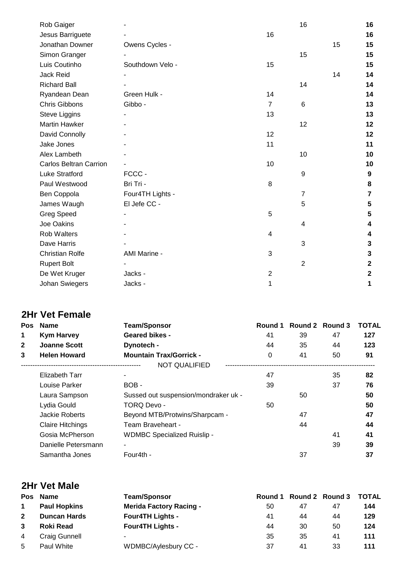| Rob Gaiger                    |                  |                | 16             |    | 16              |
|-------------------------------|------------------|----------------|----------------|----|-----------------|
| Jesus Barriguete              |                  | 16             |                |    | 16              |
| Jonathan Downer               | Owens Cycles -   |                |                | 15 | 15              |
| Simon Granger                 |                  |                | 15             |    | 15              |
| Luis Coutinho                 | Southdown Velo - | 15             |                |    | 15              |
| Jack Reid                     |                  |                |                | 14 | 14              |
| <b>Richard Ball</b>           |                  |                | 14             |    | 14              |
| Ryandean Dean                 | Green Hulk -     | 14             |                |    | 14              |
| <b>Chris Gibbons</b>          | Gibbo -          | $\overline{7}$ | 6              |    | 13              |
| Steve Liggins                 |                  | 13             |                |    | 13              |
| <b>Martin Hawker</b>          |                  |                | 12             |    | 12              |
| David Connolly                |                  | 12             |                |    | 12              |
| Jake Jones                    |                  | 11             |                |    | 11              |
| Alex Lambeth                  |                  |                | 10             |    | 10              |
| <b>Carlos Beltran Carrion</b> |                  | 10             |                |    | 10              |
| <b>Luke Stratford</b>         | FCCC-            |                | 9              |    | 9               |
| Paul Westwood                 | Bri Tri -        | 8              |                |    | 8               |
| Ben Coppola                   | Four4TH Lights - |                | $\overline{7}$ |    | $\overline{7}$  |
| James Waugh                   | El Jefe CC -     |                | 5              |    | $5\phantom{.0}$ |
| <b>Greg Speed</b>             |                  | 5              |                |    | 5               |
| Joe Oakins                    |                  |                | 4              |    | 4               |
| <b>Rob Walters</b>            |                  | 4              |                |    | 4               |
| Dave Harris                   |                  |                | 3              |    | 3               |
| <b>Christian Rolfe</b>        | AMI Marine -     | 3              |                |    | 3               |
| <b>Rupert Bolt</b>            |                  |                | $\overline{2}$ |    | $\mathbf 2$     |
| De Wet Kruger                 | Jacks -          | $\overline{2}$ |                |    | $\mathbf 2$     |
| Johan Swiegers                | Jacks -          | 1              |                |    | 1               |
|                               |                  |                |                |    |                 |

## **2Hr Vet Female**

| <b>Pos</b> | <b>Name</b>             | <b>Team/Sponsor</b>                  | Round 1  |    | Round 2 Round 3 | <b>TOTAL</b> |
|------------|-------------------------|--------------------------------------|----------|----|-----------------|--------------|
| 1          | <b>Kym Harvey</b>       | <b>Geared bikes -</b>                | 41       | 39 | 47              | 127          |
| 2          | <b>Joanne Scott</b>     | Dynotech -                           | 44       | 35 | 44              | 123          |
| 3          | <b>Helen Howard</b>     | <b>Mountain Trax/Gorrick -</b>       | $\Omega$ | 41 | 50              | 91           |
|            |                         | <b>NOT QUALIFIED</b>                 |          |    |                 |              |
|            | Elizabeth Tarr          |                                      | 47       |    | 35              | 82           |
|            | Louise Parker           | BOB-                                 | 39       |    | 37              | 76           |
|            | Laura Sampson           | Sussed out suspension/mondraker uk - |          | 50 |                 | 50           |
|            | Lydia Gould             | TORQ Devo -                          | 50       |    |                 | 50           |
|            | Jackie Roberts          | Beyond MTB/Protwins/Sharpcam -       |          | 47 |                 | 47           |
|            | <b>Claire Hitchings</b> | Team Braveheart -                    |          | 44 |                 | 44           |
|            | Gosia McPherson         | <b>WDMBC Specialized Ruislip -</b>   |          |    | 41              | 41           |
|            | Danielle Petersmann     |                                      |          |    | 39              | 39           |
|            | Samantha Jones          | Four4th -                            |          | 37 |                 | 37           |

## **2Hr Vet Male**

|                | Pos Name            | <b>Team/Sponsor</b>            |    |    | Round 1 Round 2 Round 3 TOTAL |     |
|----------------|---------------------|--------------------------------|----|----|-------------------------------|-----|
| $\mathbf 1$    | <b>Paul Hopkins</b> | <b>Merida Factory Racing -</b> | 50 | 47 | 47                            | 144 |
| $\mathbf{2}$   | <b>Duncan Hards</b> | <b>Four4TH Lights -</b>        | 41 | 44 | 44                            | 129 |
| 3              | <b>Roki Read</b>    | <b>Four4TH Lights -</b>        | 44 | 30 | 50                            | 124 |
| $\overline{4}$ | Craig Gunnell       |                                | 35 | 35 | 41                            | 111 |
| 5              | Paul White          | WDMBC/Aylesbury CC -           | 37 | 41 | 33                            | 111 |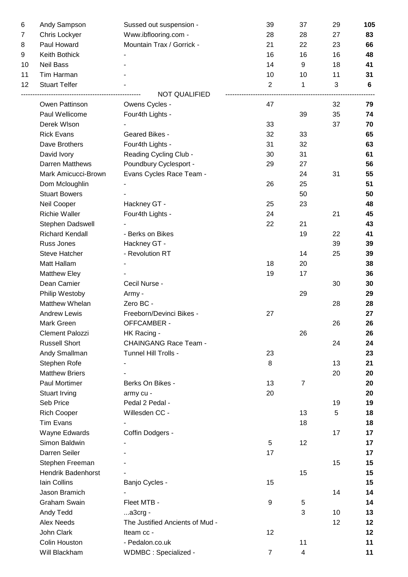| 6  | Andy Sampson              | Sussed out suspension -         | 39             | 37             | 29 | 105 |
|----|---------------------------|---------------------------------|----------------|----------------|----|-----|
| 7  | Chris Lockyer             | Www.ibflooring.com -            | 28             | 28             | 27 | 83  |
| 8  | Paul Howard               | Mountain Trax / Gorrick -       | 21             | 22             | 23 | 66  |
| 9  | Keith Bothick             |                                 | 16             | 16             | 16 | 48  |
| 10 | <b>Neil Bass</b>          |                                 | 14             | 9              | 18 | 41  |
| 11 | Tim Harman                |                                 | 10             | 10             | 11 | 31  |
| 12 | <b>Stuart Telfer</b>      |                                 | $\overline{2}$ | $\mathbf{1}$   | 3  | 6   |
|    |                           | <b>NOT QUALIFIED</b>            |                |                |    |     |
|    | Owen Pattinson            | Owens Cycles -                  | 47             |                | 32 | 79  |
|    | Paul Wellicome            | Four4th Lights -                |                | 39             | 35 | 74  |
|    | Derek Wlson               |                                 | 33             |                | 37 | 70  |
|    | <b>Rick Evans</b>         | Geared Bikes -                  | 32             | 33             |    | 65  |
|    | Dave Brothers             | Four4th Lights -                | 31             | 32             |    | 63  |
|    | David Ivory               | Reading Cycling Club -          | 30             | 31             |    | 61  |
|    | Darren Matthews           | Poundbury Cyclesport -          | 29             | 27             |    | 56  |
|    | Mark Amicucci-Brown       | Evans Cycles Race Team -        |                | 24             | 31 | 55  |
|    | Dom Mcloughlin            |                                 | 26             | 25             |    | 51  |
|    | <b>Stuart Bowers</b>      |                                 |                | 50             |    | 50  |
|    | Neil Cooper               | Hackney GT -                    | 25             | 23             |    | 48  |
|    | <b>Richie Waller</b>      | Four4th Lights -                | 24             |                | 21 | 45  |
|    | Stephen Dadswell          |                                 | 22             | 21             |    | 43  |
|    | <b>Richard Kendall</b>    | - Berks on Bikes                |                | 19             | 22 | 41  |
|    | Russ Jones                | Hackney GT -                    |                |                | 39 | 39  |
|    | <b>Steve Hatcher</b>      | - Revolution RT                 |                | 14             | 25 | 39  |
|    | Matt Hallam               |                                 | 18             | 20             |    | 38  |
|    | <b>Matthew Eley</b>       |                                 | 19             | 17             |    | 36  |
|    | Dean Camier               | Cecil Nurse -                   |                |                | 30 | 30  |
|    | Philip Westoby            | Army -                          |                | 29             |    | 29  |
|    | Matthew Whelan            | Zero BC -                       |                |                | 28 | 28  |
|    | <b>Andrew Lewis</b>       | Freeborn/Devinci Bikes -        | 27             |                |    | 27  |
|    | Mark Green                | OFFCAMBER -                     |                |                | 26 | 26  |
|    | <b>Clement Palozzi</b>    | HK Racing -                     |                | 26             |    | 26  |
|    | <b>Russell Short</b>      | <b>CHAINGANG Race Team -</b>    |                |                | 24 | 24  |
|    | Andy Smallman             | Tunnel Hill Trolls -            | 23             |                |    | 23  |
|    | Stephen Rofe              |                                 | 8              |                | 13 | 21  |
|    | <b>Matthew Briers</b>     |                                 |                |                | 20 | 20  |
|    | <b>Paul Mortimer</b>      | Berks On Bikes -                | 13             | $\overline{7}$ |    | 20  |
|    | Stuart Irving             | army cu -                       | 20             |                |    | 20  |
|    | Seb Price                 | Pedal 2 Pedal -                 |                |                | 19 | 19  |
|    | <b>Rich Cooper</b>        | Willesden CC -                  |                | 13             | 5  | 18  |
|    | <b>Tim Evans</b>          |                                 |                | 18             |    | 18  |
|    | Wayne Edwards             | Coffin Dodgers -                |                |                | 17 | 17  |
|    | Simon Baldwin             |                                 | 5              | 12             |    | 17  |
|    | Darren Seiler             |                                 | 17             |                |    | 17  |
|    | Stephen Freeman           |                                 |                |                | 15 | 15  |
|    | <b>Hendrik Badenhorst</b> |                                 |                | 15             |    | 15  |
|    | Iain Collins              | Banjo Cycles -                  | 15             |                |    | 15  |
|    | Jason Bramich             |                                 |                |                | 14 | 14  |
|    | <b>Graham Swain</b>       | Fleet MTB -                     | 9              | 5              |    | 14  |
|    | Andy Tedd                 | $a3crg -$                       |                | 3              | 10 | 13  |
|    | <b>Alex Needs</b>         | The Justified Ancients of Mud - |                |                | 12 | 12  |
|    | John Clark                | Iteam cc -                      | 12             |                |    | 12  |
|    | Colin Houston             | - Pedalon.co.uk                 |                | 11             |    | 11  |
|    | Will Blackham             | WDMBC: Specialized -            | $\overline{7}$ | 4              |    | 11  |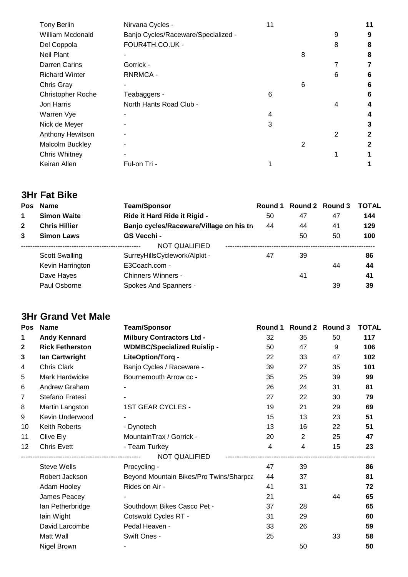| <b>Tony Berlin</b>       | Nirvana Cycles -                    | 11 |   |   | 11 |
|--------------------------|-------------------------------------|----|---|---|----|
| William Mcdonald         | Banjo Cycles/Raceware/Specialized - |    |   | 9 | 9  |
| Del Coppola              | FOUR4TH.CO.UK -                     |    |   | 8 | 8  |
| <b>Neil Plant</b>        |                                     |    | 8 |   | 8  |
| <b>Darren Carins</b>     | Gorrick -                           |    |   | 7 | 7  |
| <b>Richard Winter</b>    | RNRMCA -                            |    |   | 6 | 6  |
| Chris Gray               |                                     |    | 6 |   | 6  |
| <b>Christopher Roche</b> | Teabaggers -                        | 6  |   |   | 6  |
| Jon Harris               | North Hants Road Club -             |    |   | 4 | 4  |
| Warren Vye               |                                     | 4  |   |   | 4  |
| Nick de Meyer            |                                     | 3  |   |   | 3  |
| Anthony Hewitson         |                                     |    |   | 2 | 2  |
| Malcolm Buckley          |                                     |    | 2 |   | 2  |
| <b>Chris Whitney</b>     |                                     |    |   |   |    |
| Keiran Allen             | Ful-on Tri -                        |    |   |   |    |
|                          |                                     |    |   |   |    |

# **3Hr Fat Bike**

|              | Pos Name              | <b>Team/Sponsor</b>                      | Round 1 |    | Round 2 Round 3 | <b>TOTAL</b> |
|--------------|-----------------------|------------------------------------------|---------|----|-----------------|--------------|
|              | <b>Simon Waite</b>    | Ride it Hard Ride it Rigid -             | 50      | 47 | 47              | 144          |
| $\mathbf{2}$ | <b>Chris Hillier</b>  | Banjo cycles/Raceware/Village on his tra | 44      | 44 | 41              | 129          |
| 3            | <b>Simon Laws</b>     | GS Vecchi -                              |         | 50 | 50              | 100          |
|              |                       | NOT QUALIFIED                            |         |    |                 |              |
|              | <b>Scott Swalling</b> | SurreyHillsCyclework/Alpkit -            | 47      | 39 |                 | 86           |
|              | Kevin Harrington      | E3Coach.com -                            |         |    | 44              | 44           |
|              | Dave Hayes            | Chinners Winners -                       |         | 41 |                 | 41           |
|              | Paul Osborne          | Spokes And Spanners -                    |         |    | 39              | 39           |

## **3Hr Grand Vet Male**

| <b>Pos</b>   | <b>Name</b>            | <b>Team/Sponsor</b>                     | Round 1        |                | Round 2 Round 3 | <b>TOTAL</b> |
|--------------|------------------------|-----------------------------------------|----------------|----------------|-----------------|--------------|
| 1            | <b>Andy Kennard</b>    | <b>Milbury Contractors Ltd -</b>        | 32             | 35             | 50              | 117          |
| $\mathbf{2}$ | <b>Rick Fetherston</b> | <b>WDMBC/Specialized Ruislip -</b>      | 50             | 47             | 9               | 106          |
| 3            | lan Cartwright         | LiteOption/Torq -                       | 22             | 33             | 47              | 102          |
| 4            | Chris Clark            | Banjo Cycles / Raceware -               | 39             | 27             | 35              | 101          |
| 5            | Mark Hardwicke         | Bournemouth Arrow cc -                  | 35             | 25             | 39              | 99           |
| 6            | Andrew Graham          |                                         | 26             | 24             | 31              | 81           |
| 7            | Stefano Fratesi        |                                         | 27             | 22             | 30              | 79           |
| 8            | Martin Langston        | 1ST GEAR CYCLES -                       | 19             | 21             | 29              | 69           |
| 9            | Kevin Underwood        |                                         | 15             | 13             | 23              | 51           |
| 10           | Keith Roberts          | - Dynotech                              | 13             | 16             | 22              | 51           |
| 11           | Clive Ely              | MountainTrax / Gorrick -                | 20             | $\overline{2}$ | 25              | 47           |
| 12           | <b>Chris Evett</b>     | - Team Turkey                           | $\overline{4}$ | $\overline{4}$ | 15              | 23           |
|              |                        | NOT QUALIFIED                           |                |                |                 |              |
|              | <b>Steve Wells</b>     | Procycling -                            | 47             | 39             |                 | 86           |
|              | Robert Jackson         | Beyond Mountain Bikes/Pro Twins/Sharpca | 44             | 37             |                 | 81           |
|              | Adam Hooley            | Rides on Air -                          | 41             | 31             |                 | 72           |
|              | James Peacey           |                                         | 21             |                | 44              | 65           |
|              | lan Petherbridge       | Southdown Bikes Casco Pet -             | 37             | 28             |                 | 65           |
|              | lain Wight             | Cotswold Cycles RT -                    | 31             | 29             |                 | 60           |
|              | David Larcombe         | Pedal Heaven -                          | 33             | 26             |                 | 59           |
|              | Matt Wall              | Swift Ones -                            | 25             |                | 33              | 58           |
|              | Nigel Brown            |                                         |                | 50             |                 | 50           |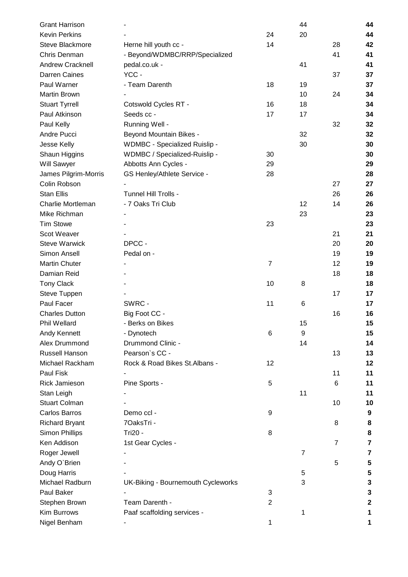| <b>Grant Harrison</b>   |                                    |                | 44             |                | 44          |
|-------------------------|------------------------------------|----------------|----------------|----------------|-------------|
| <b>Kevin Perkins</b>    |                                    | 24             | 20             |                | 44          |
| Steve Blackmore         | Herne hill youth cc -              | 14             |                | 28             | 42          |
| Chris Denman            | - Beyond/WDMBC/RRP/Specialized     |                |                | 41             | 41          |
| <b>Andrew Cracknell</b> | pedal.co.uk -                      |                | 41             |                | 41          |
| Darren Caines           | YCC-                               |                |                | 37             | 37          |
| Paul Warner             | - Team Darenth                     | 18             | 19             |                | 37          |
| <b>Martin Brown</b>     |                                    |                | 10             | 24             | 34          |
| <b>Stuart Tyrrell</b>   | Cotswold Cycles RT -               | 16             | 18             |                | 34          |
| Paul Atkinson           | Seeds cc -                         | 17             | 17             |                | 34          |
| Paul Kelly              | Running Well -                     |                |                | 32             | 32          |
| Andre Pucci             | <b>Beyond Mountain Bikes -</b>     |                | 32             |                | 32          |
| Jesse Kelly             | WDMBC - Specialized Ruislip -      |                | 30             |                | 30          |
| Shaun Higgins           | WDMBC / Specialized-Ruislip -      | 30             |                |                | 30          |
| Will Sawyer             | Abbotts Ann Cycles -               | 29             |                |                | 29          |
| James Pilgrim-Morris    | GS Henley/Athlete Service -        | 28             |                |                | 28          |
| Colin Robson            |                                    |                |                | 27             | 27          |
| <b>Stan Ellis</b>       | Tunnel Hill Trolls -               |                |                | 26             | 26          |
| Charlie Mortleman       | - 7 Oaks Tri Club                  |                | 12             | 14             | 26          |
| Mike Richman            |                                    |                | 23             |                | 23          |
| <b>Tim Stowe</b>        |                                    | 23             |                |                | 23          |
| Scot Weaver             |                                    |                |                | 21             | 21          |
| <b>Steve Warwick</b>    | DPCC-                              |                |                | 20             | 20          |
| Simon Ansell            | Pedal on -                         |                |                | 19             | 19          |
| <b>Martin Chuter</b>    |                                    | $\overline{7}$ |                | 12             | 19          |
| Damian Reid             |                                    |                |                | 18             | 18          |
| <b>Tony Clack</b>       |                                    | 10             | 8              |                | 18          |
| Steve Tuppen            |                                    |                |                | 17             | 17          |
| Paul Facer              | SWRC -                             | 11             | 6              |                | 17          |
| <b>Charles Dutton</b>   | Big Foot CC -                      |                |                | 16             | 16          |
| Phil Wellard            | - Berks on Bikes                   |                | 15             |                | 15          |
| Andy Kennett            | - Dynotech                         | 6              | 9              |                | 15          |
| Alex Drummond           | Drummond Clinic -                  |                | 14             |                | 14          |
| Russell Hanson          | Pearson's CC -                     |                |                | 13             | 13          |
| Michael Rackham         | Rock & Road Bikes St. Albans -     | 12             |                |                | 12          |
| Paul Fisk               |                                    |                |                | 11             | 11          |
| Rick Jamieson           | Pine Sports -                      | 5              |                | 6              | 11          |
| Stan Leigh              |                                    |                | 11             |                | 11          |
| <b>Stuart Colman</b>    |                                    |                |                | 10             | 10          |
| <b>Carlos Barros</b>    | Demo ccl -                         | 9              |                |                | 9           |
| <b>Richard Bryant</b>   | 7OaksTri -                         |                |                | 8              | 8           |
| <b>Simon Phillips</b>   | Tri20 -                            | 8              |                |                | 8           |
| Ken Addison             | 1st Gear Cycles -                  |                |                | $\overline{7}$ | 7           |
| Roger Jewell            |                                    |                | $\overline{7}$ |                | 7           |
| Andy O'Brien            |                                    |                |                | 5              | 5           |
| Doug Harris             |                                    |                | 5              |                | 5           |
| Michael Radburn         | UK-Biking - Bournemouth Cycleworks |                | 3              |                | 3           |
| Paul Baker              |                                    | 3              |                |                | 3           |
| Stephen Brown           | Team Darenth -                     | $\overline{2}$ |                |                | $\mathbf 2$ |
| Kim Burrows             | Paaf scaffolding services -        |                | 1              |                | 1           |
| Nigel Benham            |                                    | 1              |                |                | 1           |
|                         |                                    |                |                |                |             |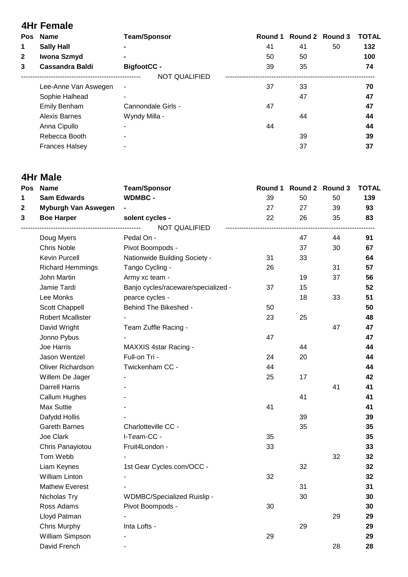|              | <b>4Hr Female</b>      |                      |    |                         |    |              |
|--------------|------------------------|----------------------|----|-------------------------|----|--------------|
|              | Pos Name               | <b>Team/Sponsor</b>  |    | Round 1 Round 2 Round 3 |    | <b>TOTAL</b> |
| 1            | <b>Sally Hall</b>      | $\blacksquare$       | 41 | 41                      | 50 | 132          |
| $\mathbf{2}$ | Iwona Szmyd            |                      | 50 | 50                      |    | 100          |
| 3            | <b>Cassandra Baldi</b> | <b>BigfootCC -</b>   | 39 | 35                      |    | 74           |
|              |                        | <b>NOT QUALIFIED</b> |    |                         |    |              |
|              | Lee-Anne Van Aswegen   | $\blacksquare$       | 37 | 33                      |    | 70           |
|              | Sophie Halhead         |                      |    | 47                      |    | 47           |
|              | <b>Emily Benham</b>    | Cannondale Girls -   | 47 |                         |    | 47           |
|              | <b>Alexis Barnes</b>   | Wyndy Milla -        |    | 44                      |    | 44           |
|              | Anna Cipullo           |                      | 44 |                         |    | 44           |
|              | Rebecca Booth          |                      |    | 39                      |    | 39           |
|              | <b>Frances Halsey</b>  |                      |    | 37                      |    | 37           |

### **4Hr Male**

| <b>Pos</b>   | <b>Name</b>              | <b>Team/Sponsor</b>                 | Round 1 | Round 2 Round 3 |    | <b>TOTAL</b> |
|--------------|--------------------------|-------------------------------------|---------|-----------------|----|--------------|
| 1            | <b>Sam Edwards</b>       | <b>WDMBC-</b>                       | 39      | 50              | 50 | 139          |
| $\mathbf{2}$ | Myburgh Van Aswegen      |                                     | 27      | 27              | 39 | 93           |
| 3            | <b>Boe Harper</b>        | solent cycles -                     | 22      | 26              | 35 | 83           |
|              |                          | NOT QUALIFIED                       |         |                 |    |              |
|              | Doug Myers               | Pedal On -                          |         | 47              | 44 | 91           |
|              | Chris Noble              | Pivot Boompods -                    |         | 37              | 30 | 67           |
|              | Kevin Purcell            | Nationwide Building Society -       | 31      | 33              |    | 64           |
|              | <b>Richard Hemmings</b>  | Tango Cycling -                     | 26      |                 | 31 | 57           |
|              | John Martin              | Army xc team -                      |         | 19              | 37 | 56           |
|              | Jamie Tardi              | Banjo cycles/raceware/specialized - | 37      | 15              |    | 52           |
|              | Lee Monks                | pearce cycles -                     |         | 18              | 33 | 51           |
|              | Scott Chappell           | Behind The Bikeshed -               | 50      |                 |    | 50           |
|              | <b>Robert Mcallister</b> |                                     | 23      | 25              |    | 48           |
|              | David Wright             | Team Zuffle Racing -                |         |                 | 47 | 47           |
|              | Jonno Pybus              |                                     | 47      |                 |    | 47           |
|              | Joe Harris               | MAXXIS 4star Racing -               |         | 44              |    | 44           |
|              | Jason Wentzel            | Full-on Tri -                       | 24      | 20              |    | 44           |
|              | Oliver Richardson        | Twickenham CC -                     | 44      |                 |    | 44           |
|              | Willem De Jager          |                                     | 25      | 17              |    | 42           |
|              | <b>Darrell Harris</b>    |                                     |         |                 | 41 | 41           |
|              | Callum Hughes            |                                     |         | 41              |    | 41           |
|              | <b>Max Suttie</b>        |                                     | 41      |                 |    | 41           |
|              | Dafydd Hollis            |                                     |         | 39              |    | 39           |
|              | <b>Gareth Barnes</b>     | Charlotteville CC -                 |         | 35              |    | 35           |
|              | Joe Clark                | I-Team-CC -                         | 35      |                 |    | 35           |
|              | Chris Panayiotou         | Fruit4London -                      | 33      |                 |    | 33           |
|              | Tom Webb                 |                                     |         |                 | 32 | 32           |
|              | Liam Keynes              | 1st Gear Cycles.com/OCC -           |         | 32              |    | 32           |
|              | <b>William Linton</b>    |                                     | 32      |                 |    | 32           |
|              | <b>Mathew Everest</b>    |                                     |         | 31              |    | 31           |
|              | Nicholas Try             | WDMBC/Specialized Ruislip -         |         | 30              |    | 30           |
|              | Ross Adams               | Pivot Boompods -                    | 30      |                 |    | 30           |
|              | Lloyd Patman             |                                     |         |                 | 29 | 29           |
|              | Chris Murphy             | Inta Lofts -                        |         | 29              |    | 29           |
|              | William Simpson          |                                     | 29      |                 |    | 29           |
|              | David French             |                                     |         |                 | 28 | 28           |
|              |                          |                                     |         |                 |    |              |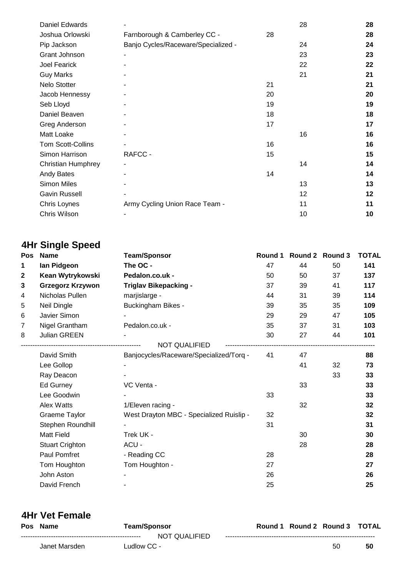| <b>Daniel Edwards</b>    |                                     |    | 28 | 28 |
|--------------------------|-------------------------------------|----|----|----|
| Joshua Orlowski          | Farnborough & Camberley CC -        | 28 |    | 28 |
| Pip Jackson              | Banjo Cycles/Raceware/Specialized - |    | 24 | 24 |
| Grant Johnson            |                                     |    | 23 | 23 |
| Joel Fearick             |                                     |    | 22 | 22 |
| <b>Guy Marks</b>         |                                     |    | 21 | 21 |
| Nelo Stotter             |                                     | 21 |    | 21 |
| Jacob Hennessy           |                                     | 20 |    | 20 |
| Seb Lloyd                |                                     | 19 |    | 19 |
| Daniel Beaven            |                                     | 18 |    | 18 |
| Greg Anderson            |                                     | 17 |    | 17 |
| Matt Loake               |                                     |    | 16 | 16 |
| <b>Tom Scott-Collins</b> |                                     | 16 |    | 16 |
| Simon Harrison           | RAFCC -                             | 15 |    | 15 |
| Christian Humphrey       |                                     |    | 14 | 14 |
| Andy Bates               |                                     | 14 |    | 14 |
| <b>Simon Miles</b>       |                                     |    | 13 | 13 |
| Gavin Russell            |                                     |    | 12 | 12 |
| Chris Loynes             | Army Cycling Union Race Team -      |    | 11 | 11 |
| Chris Wilson             |                                     |    | 10 | 10 |

# **4Hr Single Speed**

| Pos          | <b>Name</b><br><b>Team/Sponsor</b> |                                          | Round 1 |    | Round 2 Round 3 | <b>TOTAL</b> |  |
|--------------|------------------------------------|------------------------------------------|---------|----|-----------------|--------------|--|
| 1            | lan Pidgeon                        | The OC -                                 | 47      | 44 | 50              | 141          |  |
| $\mathbf{2}$ | Kean Wytrykowski                   | Pedalon.co.uk -                          | 50      | 50 | 37              | 137          |  |
| 3            | <b>Grzegorz Krzywon</b>            | <b>Triglav Bikepacking -</b>             | 37      | 39 | 41              | 117          |  |
| 4            | Nicholas Pullen                    | marjislarge -                            | 44      | 31 | 39              | 114          |  |
| 5            | Neil Dingle                        | <b>Buckingham Bikes -</b>                | 39      | 35 | 35              | 109          |  |
| 6            | Javier Simon                       |                                          | 29      | 29 | 47              | 105          |  |
| 7            | Nigel Grantham                     | Pedalon.co.uk -                          | 35      | 37 | 31              | 103          |  |
| 8            | Julian GREEN                       |                                          | 30      | 27 | 44              | 101          |  |
|              |                                    | <b>NOT QUALIFIED</b>                     |         |    |                 |              |  |
|              | David Smith                        | Banjocycles/Raceware/Specialized/Torq -  | 41      | 47 |                 | 88           |  |
|              | Lee Gollop                         |                                          |         | 41 | 32              | 73           |  |
|              | Ray Deacon                         |                                          |         |    | 33              | 33           |  |
|              | Ed Gurney                          | VC Venta -                               |         | 33 |                 | 33           |  |
|              | Lee Goodwin                        |                                          | 33      |    |                 | 33           |  |
|              | Alex Watts                         | 1/Eleven racing -                        |         | 32 |                 | 32           |  |
|              | Graeme Taylor                      | West Drayton MBC - Specialized Ruislip - | 32      |    |                 | 32           |  |
|              | Stephen Roundhill                  |                                          | 31      |    |                 | 31           |  |
|              | <b>Matt Field</b>                  | Trek UK -                                |         | 30 |                 | 30           |  |
|              | <b>Stuart Crighton</b>             | ACU -                                    |         | 28 |                 | 28           |  |
|              | Paul Pomfret                       | - Reading CC                             | 28      |    |                 | 28           |  |
|              | Tom Houghton                       | Tom Houghton -                           | 27      |    |                 | 27           |  |
|              | John Aston                         |                                          | 26      |    |                 | 26           |  |
|              | David French                       |                                          | 25      |    |                 | 25           |  |

| 4Hr Vet Female |               |             |                     |  |                               |    |    |
|----------------|---------------|-------------|---------------------|--|-------------------------------|----|----|
|                | Pos Name      |             | <b>Team/Sponsor</b> |  | Round 1 Round 2 Round 3 TOTAL |    |    |
|                |               |             | NOT QUALIFIED       |  |                               |    |    |
|                | Janet Marsden | Ludlow CC - |                     |  |                               | 50 | 50 |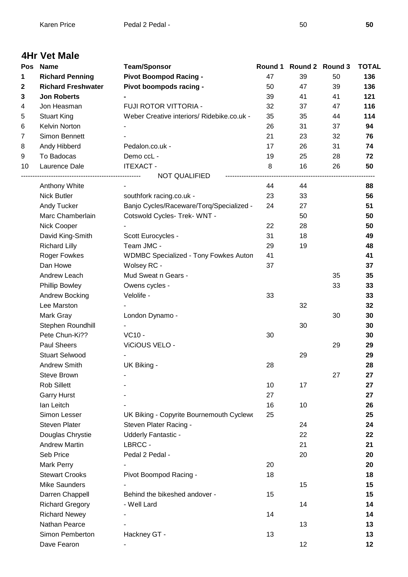| Pos | <b>Name</b>                      | <b>Team/Sponsor</b>                          |    | Round 1 Round 2 Round 3 |    | <b>TOTAL</b> |
|-----|----------------------------------|----------------------------------------------|----|-------------------------|----|--------------|
| 1   | <b>Richard Penning</b>           | <b>Pivot Boompod Racing -</b>                | 47 | 39                      | 50 | 136          |
| 2   | <b>Richard Freshwater</b>        | Pivot boompods racing -                      | 50 | 47                      | 39 | 136          |
| 3   | <b>Jon Roberts</b>               |                                              | 39 | 41                      | 41 | 121          |
| 4   | Jon Heasman                      | FUJI ROTOR VITTORIA -                        | 32 | 37                      | 47 | 116          |
| 5   | <b>Stuart King</b>               | Weber Creative interiors/ Ridebike.co.uk -   | 35 | 35                      | 44 | 114          |
| 6   | Kelvin Norton                    |                                              | 26 | 31                      | 37 | 94           |
| 7   | Simon Bennett                    |                                              | 21 | 23                      | 32 | 76           |
| 8   | Andy Hibberd                     | Pedalon.co.uk -                              | 17 | 26                      | 31 | 74           |
| 9   | To Badocas                       | Demo ccL -                                   | 19 | 25                      | 28 | 72           |
| 10  | Laurence Dale                    | <b>ITEXACT -</b>                             | 8  | 16                      | 26 | 50           |
|     | ------------------------------   | <b>NOT QUALIFIED</b>                         |    |                         |    |              |
|     | Anthony White                    |                                              | 44 | 44                      |    | 88           |
|     | <b>Nick Butler</b>               | southfork racing.co.uk -                     | 23 | 33                      |    | 56           |
|     | Andy Tucker                      | Banjo Cycles/Raceware/Torq/Specialized -     | 24 | 27                      |    | 51           |
|     | Marc Chamberlain                 | Cotswold Cycles- Trek- WNT -                 |    | 50                      |    | 50           |
|     | Nick Cooper                      |                                              | 22 | 28                      |    | 50           |
|     | David King-Smith                 | Scott Eurocycles -                           | 31 | 18                      |    | 49           |
|     | <b>Richard Lilly</b>             | Team JMC -                                   | 29 | 19                      |    | 48           |
|     | Roger Fowkes                     | <b>WDMBC Specialized - Tony Fowkes Auton</b> | 41 |                         |    | 41           |
|     | Dan Howe                         | Wolsey RC -                                  | 37 |                         |    | 37           |
|     | Andrew Leach                     | Mud Sweat n Gears -                          |    |                         | 35 | 35           |
|     | <b>Phillip Bowley</b>            | Owens cycles -                               |    |                         | 33 | 33           |
|     | Andrew Bocking                   | Velolife -                                   | 33 |                         |    | 33           |
|     | Lee Marston                      |                                              |    | 32                      |    | 32           |
|     | Mark Gray                        | London Dynamo -                              |    |                         | 30 | 30           |
|     | Stephen Roundhill                |                                              |    | 30                      |    | 30           |
|     | Pete Chun-Ki??                   | VC10 -                                       | 30 |                         |    | 30           |
|     | Paul Sheers                      | ViCiOUS VELO -                               |    |                         | 29 | 29           |
|     | <b>Stuart Selwood</b>            |                                              |    | 29                      |    | 29           |
|     | Andrew Smith                     |                                              | 28 |                         |    | 28           |
|     | <b>Steve Brown</b>               | UK Biking -                                  |    |                         | 27 | 27           |
|     | <b>Rob Sillett</b>               |                                              | 10 | 17                      |    | 27           |
|     |                                  |                                              | 27 |                         |    | 27           |
|     | <b>Garry Hurst</b><br>lan Leitch |                                              | 16 | 10                      |    |              |
|     |                                  |                                              |    |                         |    | 26           |
|     | Simon Lesser                     | UK Biking - Copyrite Bournemouth Cyclewo     | 25 |                         |    | 25           |
|     | <b>Steven Plater</b>             | Steven Plater Racing -                       |    | 24                      |    | 24           |
|     | Douglas Chrystie                 | <b>Udderly Fantastic -</b>                   |    | 22                      |    | 22           |
|     | <b>Andrew Martin</b>             | LBRCC -                                      |    | 21                      |    | 21           |
|     | Seb Price                        | Pedal 2 Pedal -                              |    | 20                      |    | 20           |
|     | Mark Perry                       |                                              | 20 |                         |    | 20           |
|     | <b>Stewart Crooks</b>            | Pivot Boompod Racing -                       | 18 |                         |    | 18           |
|     | <b>Mike Saunders</b>             |                                              |    | 15                      |    | 15           |
|     | Darren Chappell                  | Behind the bikeshed andover -                | 15 |                         |    | 15           |
|     | <b>Richard Gregory</b>           | - Well Lard                                  |    | 14                      |    | 14           |
|     | <b>Richard Newey</b>             |                                              | 14 |                         |    | 14           |
|     | Nathan Pearce                    |                                              |    | 13                      |    | 13           |
|     | Simon Pemberton                  | Hackney GT -                                 | 13 |                         |    | 13           |
|     | Dave Fearon                      |                                              |    | 12                      |    | 12           |